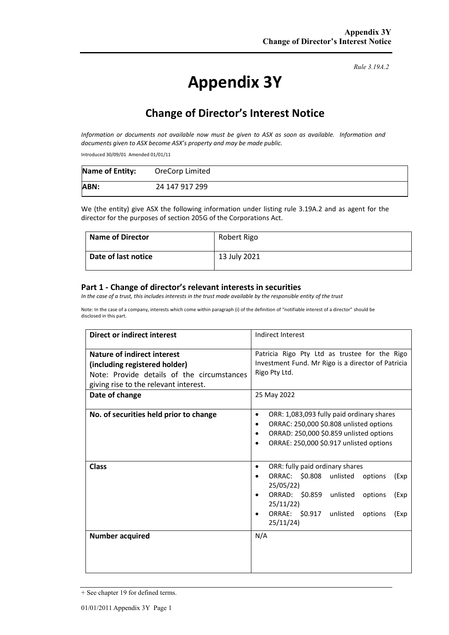# **Appendix 3Y**

*Rule 3.19A.2*

## **Change of Director's Interest Notice**

*Information or documents not available now must be given to ASX as soon as available. Information and documents given to ASX become ASX's property and may be made public.* 

Introduced 30/09/01 Amended 01/01/11

| <b>Name of Entity:</b> | OreCorp Limited |
|------------------------|-----------------|
| ABN:                   | 24 147 917 299  |

We (the entity) give ASX the following information under listing rule 3.19A.2 and as agent for the director for the purposes of section 205G of the Corporations Act.

| Name of Director    | Robert Rigo  |
|---------------------|--------------|
| Date of last notice | 13 July 2021 |

#### **Part 1 - Change of director's relevant interests in securities**

*In the case of a trust, this includes interests in the trust made available by the responsible entity of the trust* 

Note: In the case of a company, interests which come within paragraph (i) of the definition of "notifiable interest of a director" should be disclosed in this part.

| Direct or indirect interest                                                                                                                                           | Indirect Interest                                                                                                                                                                                                             |  |  |
|-----------------------------------------------------------------------------------------------------------------------------------------------------------------------|-------------------------------------------------------------------------------------------------------------------------------------------------------------------------------------------------------------------------------|--|--|
| Nature of indirect interest<br>(including registered holder)<br>Note: Provide details of the circumstances<br>giving rise to the relevant interest.<br>Date of change | Patricia Rigo Pty Ltd as trustee for the Rigo<br>Investment Fund. Mr Rigo is a director of Patricia<br>Rigo Pty Ltd.<br>25 May 2022                                                                                           |  |  |
| No. of securities held prior to change                                                                                                                                | ORR: 1,083,093 fully paid ordinary shares<br>٠<br>ORRAC: 250,000 \$0.808 unlisted options<br>٠<br>ORRAD: 250,000 \$0.859 unlisted options<br>ORRAE: 250,000 \$0.917 unlisted options                                          |  |  |
| <b>Class</b>                                                                                                                                                          | ORR: fully paid ordinary shares<br>٠<br>ORRAC: \$0.808<br>unlisted<br>options<br>(Exp<br>25/05/22<br>ORRAD: \$0.859<br>unlisted<br>options<br>(Exp<br>25/11/22)<br>ORRAE: \$0.917<br>unlisted<br>options<br>(Exp<br>25/11/24) |  |  |
| <b>Number acquired</b>                                                                                                                                                | N/A                                                                                                                                                                                                                           |  |  |

<sup>+</sup> See chapter 19 for defined terms.